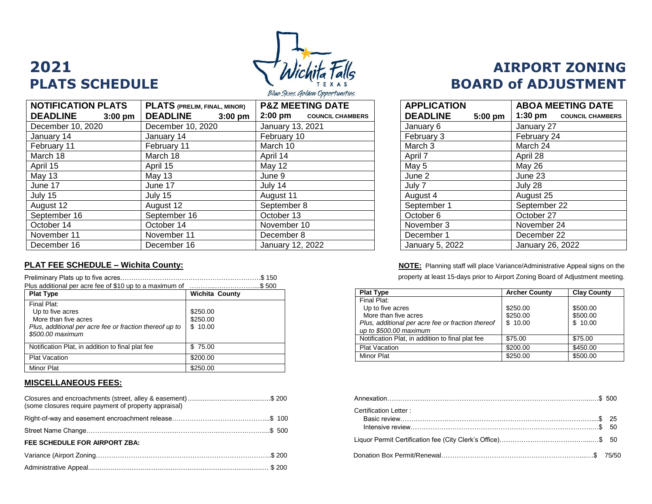

**NOTIFICATION PLATS DEADLINE 3:00 pm PLATS (PRELIM, FINAL, MINOR) DEADLINE 3:00 pm P&Z MEETING DATE 2:00 pm COUNCIL CHAMBERS** December 10, 2020 **December 10, 2020** January 13, 2021 January 14 January 14 February 10 February 3 February 24 February 11 February 11 March 10 March 3 March 24 March 18 | March 18 | April 14 | | April 7 | April 28 April 15 | April 15 | May 12 | | May 5 | May 26 May 13 | May 13 | June 9 | | June 2 | June 23 June 17 | June 17 | July 14 | | July 7 | July 28 July 15 | July 15 | August 11 | | August 4 | August 25 August 12 | August 12 | September 8 | | September 1 | September 22 September 16 | September 16 | October 13 | October 6 | October 27 October 14 October 14 November 10 November 3 November 24 November 11 November 11 December 8 December 1 December 22 December 16 December 16 January 12, 2022

|                                                                                                                                        | \$150                           |  |
|----------------------------------------------------------------------------------------------------------------------------------------|---------------------------------|--|
| Plus additional per acre fee of \$10 up to a maximum of<br>\$500                                                                       |                                 |  |
| <b>Plat Type</b>                                                                                                                       | <b>Wichita County</b>           |  |
| Final Plat:<br>Up to five acres<br>More than five acres<br>Plus, additional per acre fee or fraction thereof up to<br>\$500.00 maximum | \$250.00<br>\$250.00<br>\$10.00 |  |
| Notification Plat, in addition to final plat fee                                                                                       | \$75.00                         |  |
| <b>Plat Vacation</b>                                                                                                                   | \$200.00                        |  |
| Minor Plat                                                                                                                             | \$250.00                        |  |

#### **MISCELLANEOUS FEES:**

| (some closures require payment of property appraisal) |                       |  |
|-------------------------------------------------------|-----------------------|--|
|                                                       | Certification Letter: |  |
|                                                       |                       |  |
| FEE SCHEDULE FOR AIRPORT ZBA:                         |                       |  |
|                                                       |                       |  |
|                                                       |                       |  |

# **2021 AIRPORT ZONING PLATS SCHEDULE BOARD of ADJUSTMENT**

| <b>APPLICATION</b> |         | <b>ABOA MEETING DATE</b>           |  |
|--------------------|---------|------------------------------------|--|
| <b>DEADLINE</b>    | 5:00 pm | 1:30 pm<br><b>COUNCIL CHAMBERS</b> |  |
| January 6          |         | January 27                         |  |
| February 3         |         | February 24                        |  |
| March 3            |         | March 24                           |  |
| April 7            |         | April 28                           |  |
| May 5              |         | <b>May 26</b>                      |  |
| June 2             |         | June 23                            |  |
| July 7             |         | July 28                            |  |
| August 4           |         | August 25                          |  |
| September 1        |         | September 22                       |  |
| October 6          |         | October 27                         |  |
| November 3         |         | November 24                        |  |
| December 1         |         | December 22                        |  |
| January 5, 2022    |         | January 26, 2022                   |  |

**PLAT FEE SCHEDULE – Wichita County: NOTE:** Planning staff will place Variance/Administrative Appeal signs on the property at least 15-days prior to Airport Zoning Board of Adjustment meeting.

| <b>Plat Type</b>                                                            | <b>Archer County</b> | <b>Clay County</b> |
|-----------------------------------------------------------------------------|----------------------|--------------------|
| Final Plat:                                                                 |                      |                    |
| Up to five acres                                                            | \$250.00             | \$500.00           |
| More than five acres                                                        | \$250.00             | \$500.00           |
| Plus, additional per acre fee or fraction thereof<br>up to \$500.00 maximum | \$10.00              | \$10.00            |
| Notification Plat, in addition to final plat fee                            | \$75.00              | \$75.00            |
| <b>Plat Vacation</b>                                                        | \$200.00             | \$450.00           |
| Minor Plat                                                                  | \$250.00             | \$500.00           |

| Certification Letter: |  |
|-----------------------|--|
|                       |  |
|                       |  |
|                       |  |
|                       |  |